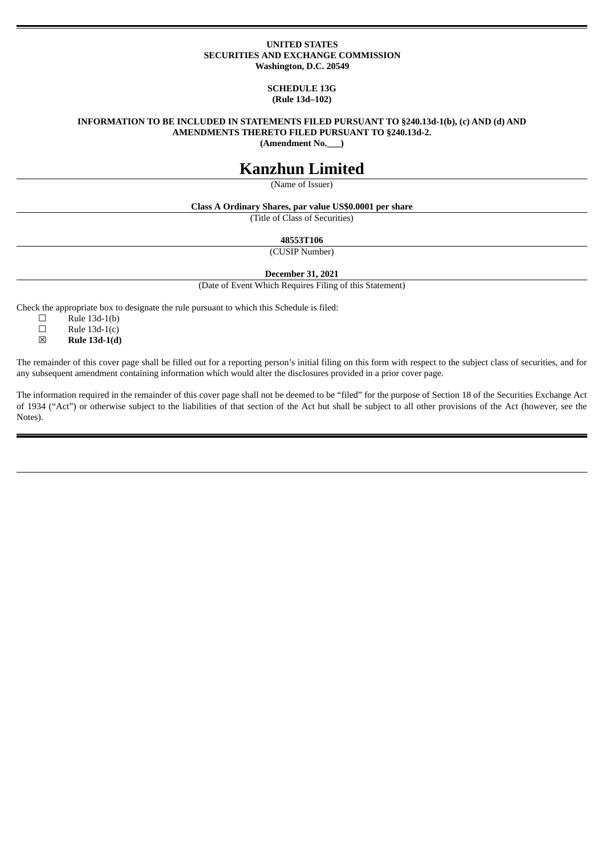#### **UNITED STATES SECURITIES AND EXCHANGE COMMISSION Washington, D.C. 20549**

#### **SCHEDULE 13G (Rule 13d–102)**

#### **INFORMATION TO BE INCLUDED IN STATEMENTS FILED PURSUANT TO §240.13d-1(b), (c) AND (d) AND AMENDMENTS THERETO FILED PURSUANT TO §240.13d-2.**

**(Amendment No.\_\_\_)**

# **Kanzhun Limited**

(Name of Issuer)

## **Class A Ordinary Shares, par value US\$0.0001 per share**

(Title of Class of Securities)

**48553T106**

(CUSIP Number)

#### **December 31, 2021**

(Date of Event Which Requires Filing of this Statement)

Check the appropriate box to designate the rule pursuant to which this Schedule is filed:

- $\Box$  Rule 13d-1(b)<br> $\Box$  Rule 13d-1(c)
- $\Box$  Rule 13d-1(c)<br> $\boxtimes$  **Rule 13d-1(d)**
- ☒ **Rule 13d-1(d)**

The remainder of this cover page shall be filled out for a reporting person's initial filing on this form with respect to the subject class of securities, and for any subsequent amendment containing information which would alter the disclosures provided in a prior cover page.

The information required in the remainder of this cover page shall not be deemed to be "filed" for the purpose of Section 18 of the Securities Exchange Act of 1934 ("Act") or otherwise subject to the liabilities of that section of the Act but shall be subject to all other provisions of the Act (however, see the Notes).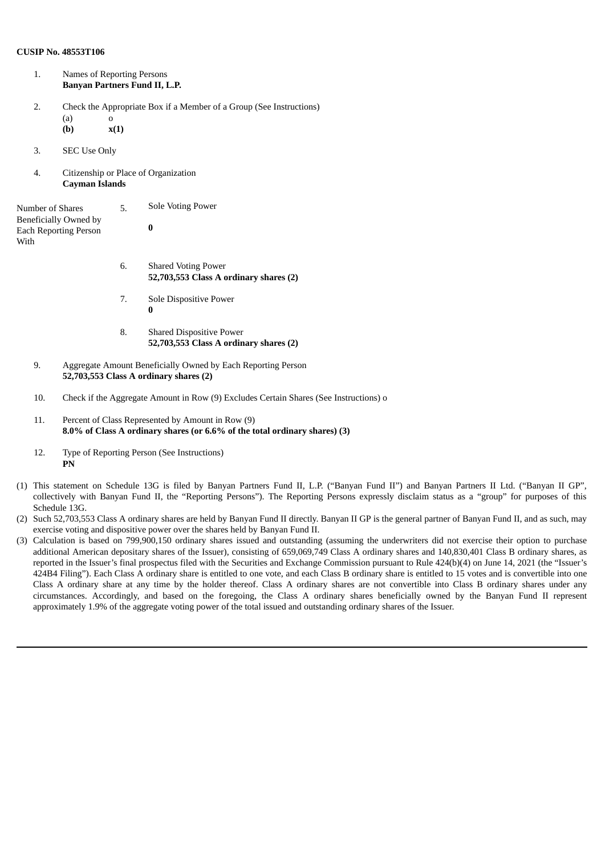#### **CUSIP No. 48553T106**

- 1. Names of Reporting Persons **Banyan Partners Fund II, L.P.** 2. Check the Appropriate Box if a Member of a Group (See Instructions) (a)  $\qquad \qquad \text{o}$ <br>(b)  $\qquad \qquad \text{x}$ **(b) x(1)** 3. SEC Use Only 4. Citizenship or Place of Organization **Cayman Islands** Number of Shares Beneficially Owned by Each Reporting Person With 5. Sole Voting Power **0** 6. Shared Voting Power **52,703,553 Class A ordinary shares (2)** 7. Sole Dispositive Power **0** 8. Shared Dispositive Power **52,703,553 Class A ordinary shares (2)** 9. Aggregate Amount Beneficially Owned by Each Reporting Person **52,703,553 Class A ordinary shares (2)**
	- 10. Check if the Aggregate Amount in Row (9) Excludes Certain Shares (See Instructions) o
	- 11. Percent of Class Represented by Amount in Row (9) **8.0% of Class A ordinary shares (or 6.6% of the total ordinary shares) (3)**
	- 12. Type of Reporting Person (See Instructions) **PN**
- (1) This statement on Schedule 13G is filed by Banyan Partners Fund II, L.P. ("Banyan Fund II") and Banyan Partners II Ltd. ("Banyan II GP", collectively with Banyan Fund II, the "Reporting Persons"). The Reporting Persons expressly disclaim status as a "group" for purposes of this Schedule 13G.
- (2) Such 52,703,553 Class A ordinary shares are held by Banyan Fund II directly. Banyan II GP is the general partner of Banyan Fund II, and as such, may exercise voting and dispositive power over the shares held by Banyan Fund II.
- (3) Calculation is based on 799,900,150 ordinary shares issued and outstanding (assuming the underwriters did not exercise their option to purchase additional American depositary shares of the Issuer), consisting of 659,069,749 Class A ordinary shares and 140,830,401 Class B ordinary shares, as reported in the Issuer's final prospectus filed with the Securities and Exchange Commission pursuant to Rule 424(b)(4) on June 14, 2021 (the "Issuer's 424B4 Filing"). Each Class A ordinary share is entitled to one vote, and each Class B ordinary share is entitled to 15 votes and is convertible into one Class A ordinary share at any time by the holder thereof. Class A ordinary shares are not convertible into Class B ordinary shares under any circumstances. Accordingly, and based on the foregoing, the Class A ordinary shares beneficially owned by the Banyan Fund II represent approximately 1.9% of the aggregate voting power of the total issued and outstanding ordinary shares of the Issuer.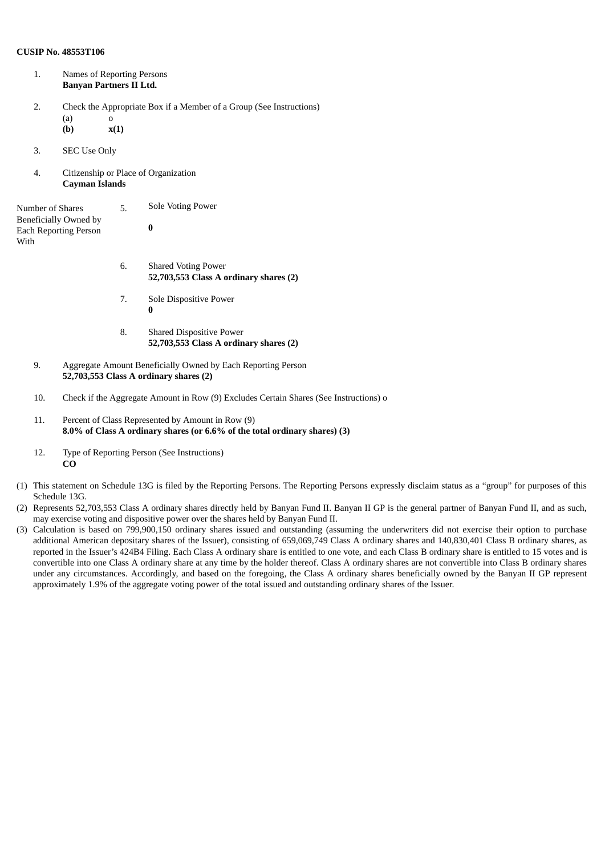#### **CUSIP No. 48553T106**

- 1. Names of Reporting Persons **Banyan Partners II Ltd.** 2. Check the Appropriate Box if a Member of a Group (See Instructions) (a)  $\qquad \qquad \textbf{0}$ <br>(b)  $\qquad \qquad \textbf{x}$ **(b) x(1)** 3. SEC Use Only 4. Citizenship or Place of Organization **Cayman Islands** Number of Shares Beneficially Owned by Each Reporting Person With 5. Sole Voting Power **0** 6. Shared Voting Power **52,703,553 Class A ordinary shares (2)** 7. Sole Dispositive Power **0** 8. Shared Dispositive Power **52,703,553 Class A ordinary shares (2)** 9. Aggregate Amount Beneficially Owned by Each Reporting Person **52,703,553 Class A ordinary shares (2)**
	- 10. Check if the Aggregate Amount in Row (9) Excludes Certain Shares (See Instructions) o
	- 11. Percent of Class Represented by Amount in Row (9) **8.0% of Class A ordinary shares (or 6.6% of the total ordinary shares) (3)**
	- 12. Type of Reporting Person (See Instructions) **CO**
- (1) This statement on Schedule 13G is filed by the Reporting Persons. The Reporting Persons expressly disclaim status as a "group" for purposes of this Schedule 13G.
- (2) Represents 52,703,553 Class A ordinary shares directly held by Banyan Fund II. Banyan II GP is the general partner of Banyan Fund II, and as such, may exercise voting and dispositive power over the shares held by Banyan Fund II.
- (3) Calculation is based on 799,900,150 ordinary shares issued and outstanding (assuming the underwriters did not exercise their option to purchase additional American depositary shares of the Issuer), consisting of 659,069,749 Class A ordinary shares and 140,830,401 Class B ordinary shares, as reported in the Issuer's 424B4 Filing. Each Class A ordinary share is entitled to one vote, and each Class B ordinary share is entitled to 15 votes and is convertible into one Class A ordinary share at any time by the holder thereof. Class A ordinary shares are not convertible into Class B ordinary shares under any circumstances. Accordingly, and based on the foregoing, the Class A ordinary shares beneficially owned by the Banyan II GP represent approximately 1.9% of the aggregate voting power of the total issued and outstanding ordinary shares of the Issuer.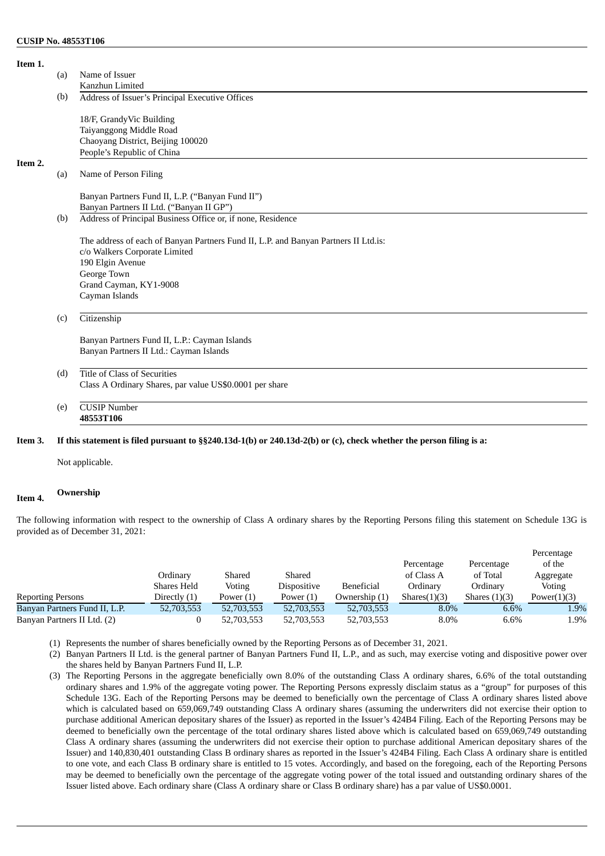| Item 1. |     |                                                                                     |  |  |  |  |  |  |  |
|---------|-----|-------------------------------------------------------------------------------------|--|--|--|--|--|--|--|
|         | (a) | Name of Issuer                                                                      |  |  |  |  |  |  |  |
|         |     | Kanzhun Limited                                                                     |  |  |  |  |  |  |  |
|         | (b) | Address of Issuer's Principal Executive Offices                                     |  |  |  |  |  |  |  |
|         |     | 18/F, GrandyVic Building                                                            |  |  |  |  |  |  |  |
|         |     | Taiyanggong Middle Road                                                             |  |  |  |  |  |  |  |
|         |     | Chaoyang District, Beijing 100020                                                   |  |  |  |  |  |  |  |
|         |     | People's Republic of China                                                          |  |  |  |  |  |  |  |
| Item 2. |     |                                                                                     |  |  |  |  |  |  |  |
|         | (a) | Name of Person Filing                                                               |  |  |  |  |  |  |  |
|         |     | Banyan Partners Fund II, L.P. ("Banyan Fund II")                                    |  |  |  |  |  |  |  |
|         |     | Banyan Partners II Ltd. ("Banyan II GP")                                            |  |  |  |  |  |  |  |
|         | (b) | Address of Principal Business Office or, if none, Residence                         |  |  |  |  |  |  |  |
|         |     | The address of each of Banyan Partners Fund II, L.P. and Banyan Partners II Ltd.is: |  |  |  |  |  |  |  |
|         |     | c/o Walkers Corporate Limited                                                       |  |  |  |  |  |  |  |
|         |     | 190 Elgin Avenue                                                                    |  |  |  |  |  |  |  |
|         |     | George Town                                                                         |  |  |  |  |  |  |  |
|         |     | Grand Cayman, KY1-9008                                                              |  |  |  |  |  |  |  |
|         |     | Cayman Islands                                                                      |  |  |  |  |  |  |  |
|         | (c) | Citizenship                                                                         |  |  |  |  |  |  |  |
|         |     | Banyan Partners Fund II, L.P.: Cayman Islands                                       |  |  |  |  |  |  |  |
|         |     | Banyan Partners II Ltd.: Cayman Islands                                             |  |  |  |  |  |  |  |
|         | (d) | Title of Class of Securities                                                        |  |  |  |  |  |  |  |
|         |     | Class A Ordinary Shares, par value US\$0.0001 per share                             |  |  |  |  |  |  |  |
|         | (e) | <b>CUSIP Number</b>                                                                 |  |  |  |  |  |  |  |
|         |     | 48553T106                                                                           |  |  |  |  |  |  |  |
|         |     |                                                                                     |  |  |  |  |  |  |  |

Item 3. If this statement is filed pursuant to §§240.13d-1(b) or 240.13d-2(b) or (c), check whether the person filing is a:

Not applicable.

#### **Item 4. Ownership**

The following information with respect to the ownership of Class A ordinary shares by the Reporting Persons filing this statement on Schedule 13G is provided as of December 31, 2021:

|              |             |             |                   |              |                 | Percentage     |
|--------------|-------------|-------------|-------------------|--------------|-----------------|----------------|
|              |             |             |                   | Percentage   | Percentage      | of the         |
| Ordinary     | Shared      | Shared      |                   | of Class A   | of Total        | Aggregate      |
| Shares Held  | Voting      | Dispositive | <b>Beneficial</b> | Ordinary     | Ordinary        | Voting         |
| Directly (1) | Power $(1)$ | Power $(1)$ | Ownership (1)     | Shares(1)(3) | Shares $(1)(3)$ | Power $(1)(3)$ |
| 52,703,553   | 52,703,553  | 52,703,553  | 52,703,553        | 8.0%         | 6.6%            | 1.9%           |
|              | 52,703,553  | 52,703,553  | 52,703,553        | 8.0%         | 6.6%            | 1.9%           |
|              |             |             |                   |              |                 |                |

(1) Represents the number of shares beneficially owned by the Reporting Persons as of December 31, 2021.

(2) Banyan Partners II Ltd. is the general partner of Banyan Partners Fund II, L.P., and as such, may exercise voting and dispositive power over the shares held by Banyan Partners Fund II, L.P.

(3) The Reporting Persons in the aggregate beneficially own 8.0% of the outstanding Class A ordinary shares, 6.6% of the total outstanding ordinary shares and 1.9% of the aggregate voting power. The Reporting Persons expressly disclaim status as a "group" for purposes of this Schedule 13G. Each of the Reporting Persons may be deemed to beneficially own the percentage of Class A ordinary shares listed above which is calculated based on 659,069,749 outstanding Class A ordinary shares (assuming the underwriters did not exercise their option to purchase additional American depositary shares of the Issuer) as reported in the Issuer's 424B4 Filing. Each of the Reporting Persons may be deemed to beneficially own the percentage of the total ordinary shares listed above which is calculated based on 659,069,749 outstanding Class A ordinary shares (assuming the underwriters did not exercise their option to purchase additional American depositary shares of the Issuer) and 140,830,401 outstanding Class B ordinary shares as reported in the Issuer's 424B4 Filing. Each Class A ordinary share is entitled to one vote, and each Class B ordinary share is entitled to 15 votes. Accordingly, and based on the foregoing, each of the Reporting Persons may be deemed to beneficially own the percentage of the aggregate voting power of the total issued and outstanding ordinary shares of the Issuer listed above. Each ordinary share (Class A ordinary share or Class B ordinary share) has a par value of US\$0.0001.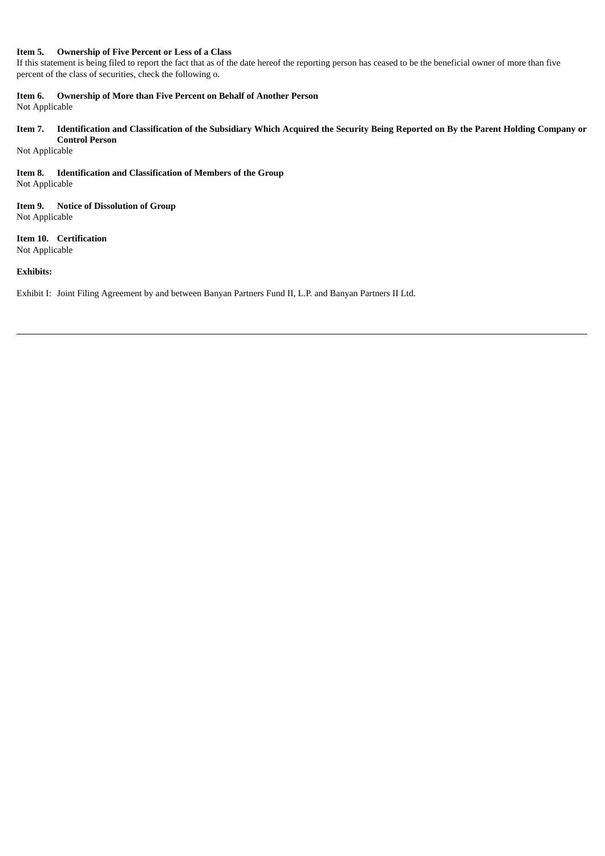#### **Item 5. Ownership of Five Percent or Less of a Class**

If this statement is being filed to report the fact that as of the date hereof the reporting person has ceased to be the beneficial owner of more than five percent of the class of securities, check the following o.

### **Item 6. Ownership of More than Five Percent on Behalf of Another Person**

Not Applicable

#### Item 7. Identification and Classification of the Subsidiary Which Acquired the Security Being Reported on By the Parent Holding Company or **Control Person**

Not Applicable

#### **Item 8. Identification and Classification of Members of the Group** Not Applicable

#### **Item 9. Notice of Dissolution of Group** Not Applicable

### **Item 10. Certification**

Not Applicable

#### **Exhibits:**

Exhibit I: Joint Filing Agreement by and between Banyan Partners Fund II, L.P. and Banyan Partners II Ltd.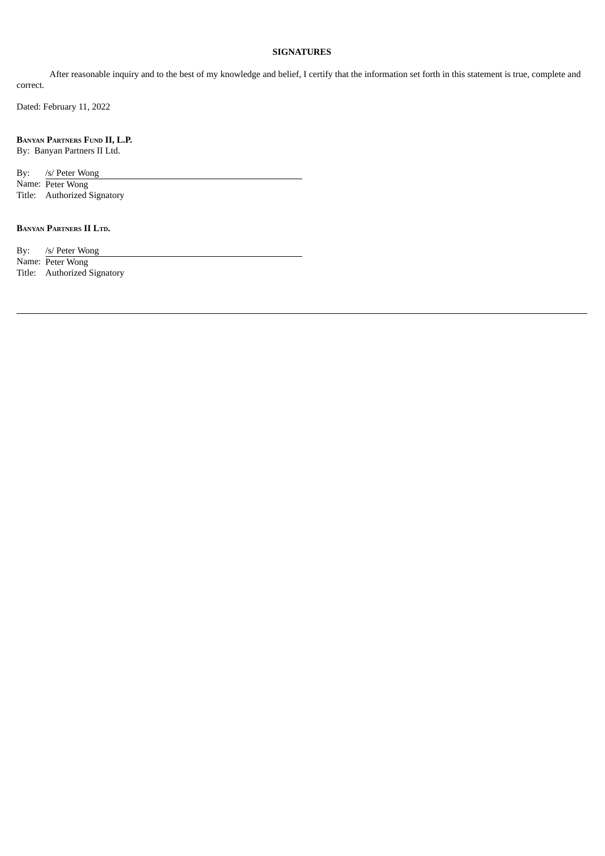#### **SIGNATURES**

After reasonable inquiry and to the best of my knowledge and belief, I certify that the information set forth in this statement is true, complete and correct.

Dated: February 11, 2022

**BANYAN PARTNERS FUND II, L.P.** By: Banyan Partners II Ltd.

By: /s/ Peter Wong Name: Peter Wong Title: Authorized Signatory

#### **BANYAN PARTNERS II LTD.**

By: /s/ Peter Wong Name: Peter Wong Title: Authorized Signatory